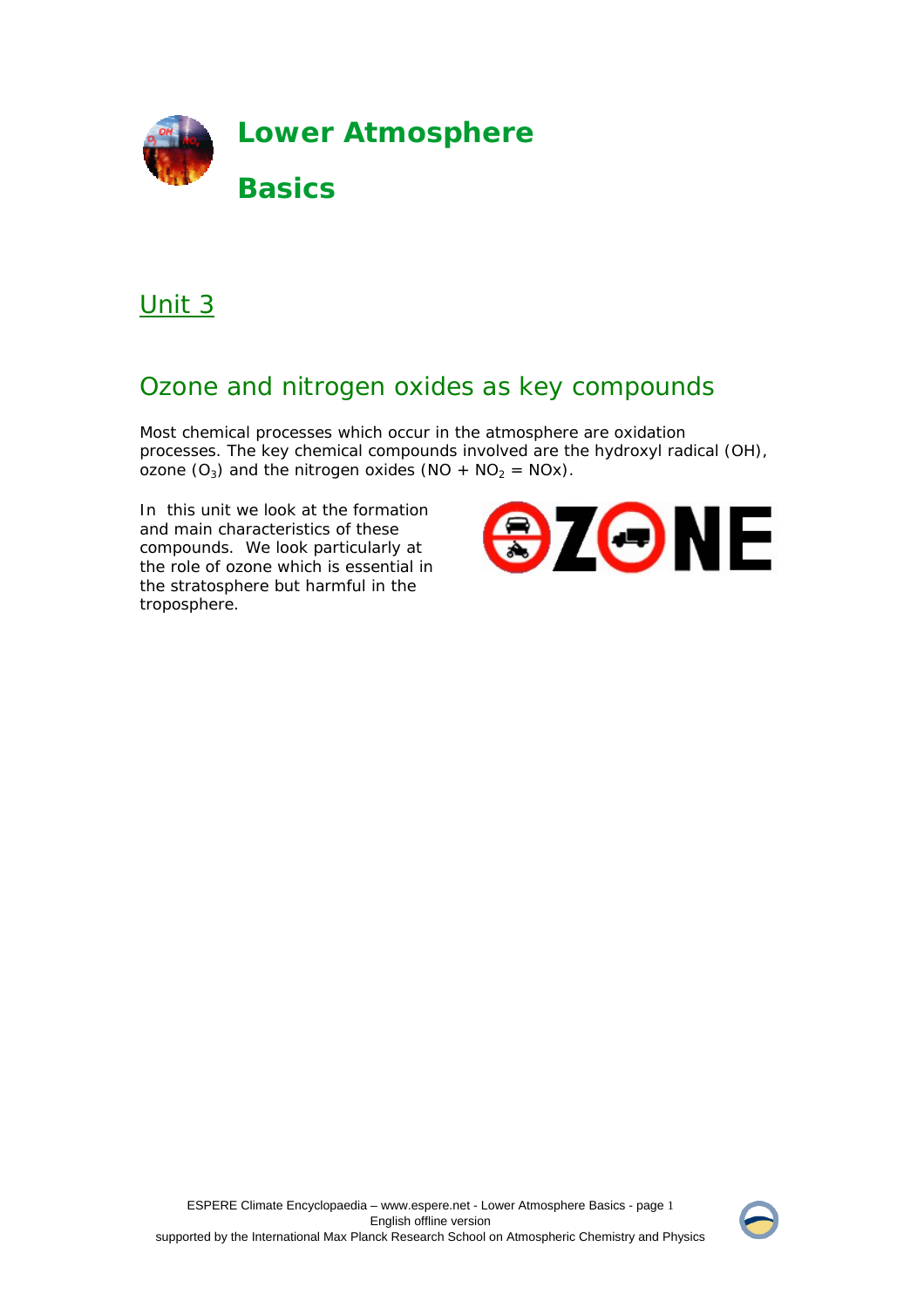

# Unit 3

# Ozone and nitrogen oxides as key compounds

Most chemical processes which occur in the atmosphere are oxidation processes. The key chemical compounds involved are the hydroxyl radical (OH), ozone  $(O_3)$  and the nitrogen oxides  $(NO + NO_2 = NOx)$ .

In this unit we look at the formation and main characteristics of these compounds. We look particularly at the role of ozone which is essential in the stratosphere but harmful in the troposphere.



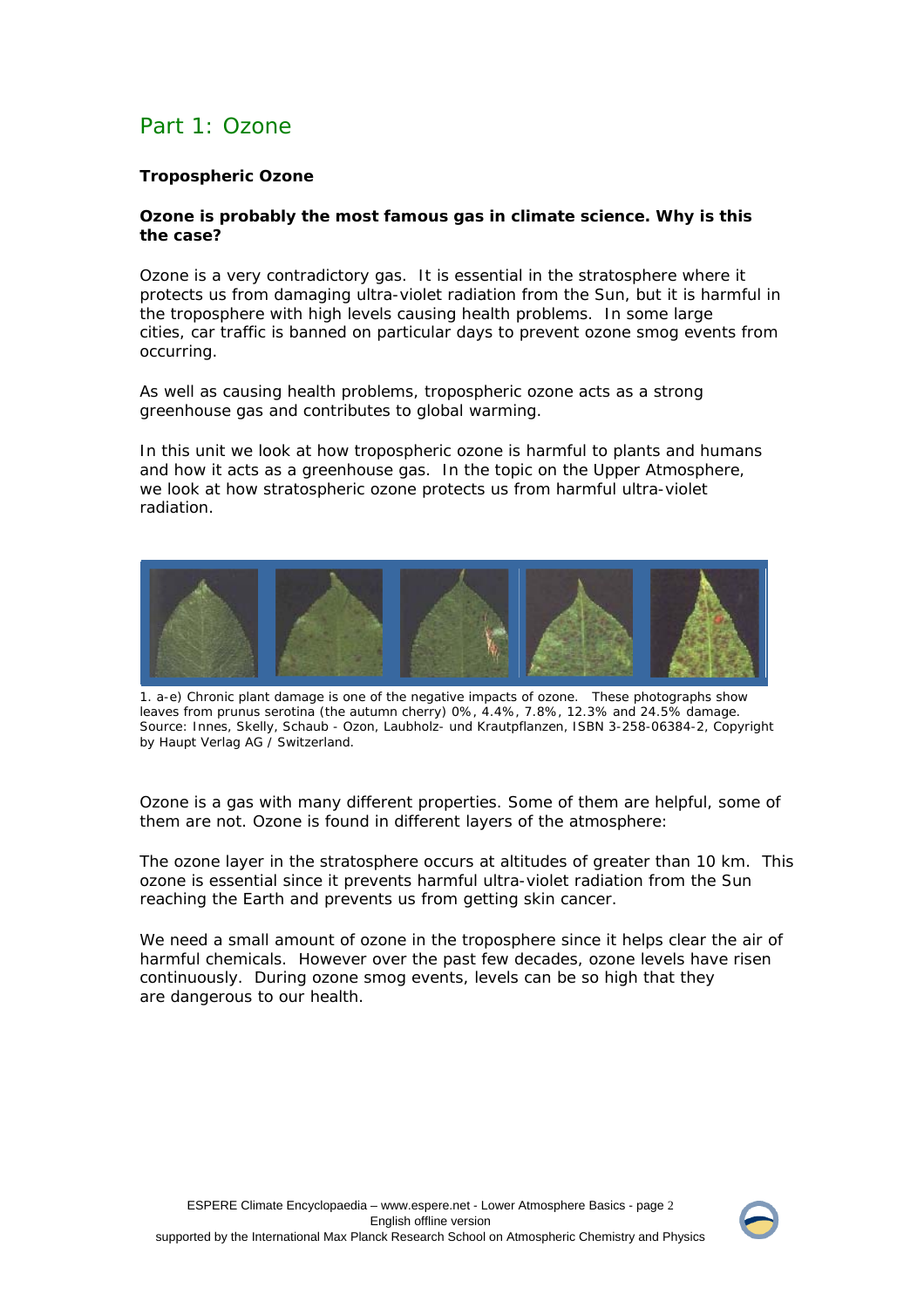# Part 1: Ozone

# **Tropospheric Ozone**

# **Ozone is probably the most famous gas in climate science. Why is this the case?**

Ozone is a very contradictory gas. It is essential in the stratosphere where it protects us from damaging ultra-violet radiation from the Sun, but it is harmful in the troposphere with high levels causing health problems. In some large cities, car traffic is banned on particular days to prevent ozone smog events from occurring.

As well as causing health problems, tropospheric ozone acts as a strong greenhouse gas and contributes to global warming.

In this unit we look at how tropospheric ozone is harmful to plants and humans and how it acts as a greenhouse gas. In the topic on the Upper Atmosphere, we look at how stratospheric ozone protects us from harmful ultra-violet radiation.



1. a-e) Chronic plant damage is one of the negative impacts of ozone. These photographs show leaves from prunus serotina (the autumn cherry) 0%, 4.4%, 7.8%, 12.3% and 24.5% damage. Source: Innes, Skelly, Schaub - Ozon, Laubholz- und Krautpflanzen, ISBN 3-258-06384-2, Copyright by Haupt Verlag AG / Switzerland.

Ozone is a gas with many different properties. Some of them are helpful, some of them are not. Ozone is found in different layers of the atmosphere:

The ozone layer in the stratosphere occurs at altitudes of greater than 10 km. This ozone is essential since it prevents harmful ultra-violet radiation from the Sun reaching the Earth and prevents us from getting skin cancer.

We need a small amount of ozone in the troposphere since it helps clear the air of harmful chemicals. However over the past few decades, ozone levels have risen continuously. During ozone smog events, levels can be so high that they are dangerous to our health.

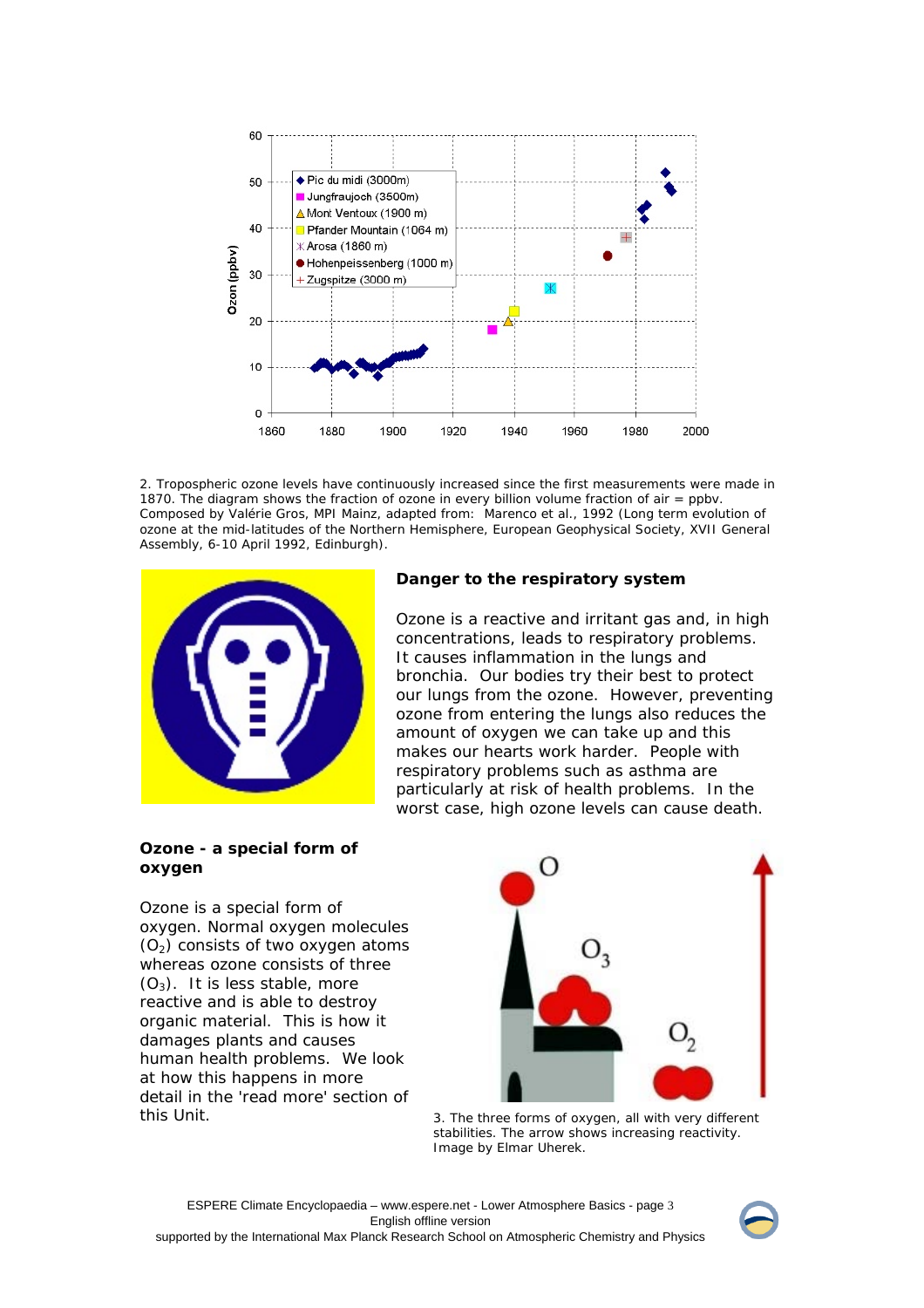

2. Tropospheric ozone levels have continuously increased since the first measurements were made in 1870. The diagram shows the fraction of ozone in every billion volume fraction of air = ppbv. Composed by Valérie Gros, MPI Mainz, adapted from: Marenco et al., 1992 (Long term evolution of ozone at the mid-latitudes of the Northern Hemisphere, European Geophysical Society, XVII General Assembly, 6-10 April 1992, Edinburgh).



# **Danger to the respiratory system**

Ozone is a reactive and irritant gas and, in high concentrations, leads to respiratory problems. It causes inflammation in the lungs and bronchia. Our bodies try their best to protect our lungs from the ozone. However, preventing ozone from entering the lungs also reduces the amount of oxygen we can take up and this makes our hearts work harder. People with respiratory problems such as asthma are particularly at risk of health problems. In the worst case, high ozone levels can cause death.

### **Ozone - a special form of oxygen**

Ozone is a special form of oxygen. Normal oxygen molecules  $(O<sub>2</sub>)$  consists of two oxygen atoms whereas ozone consists of three  $(O_3)$ . It is less stable, more reactive and is able to destroy organic material. This is how it damages plants and causes human health problems. We look at how this happens in more detail in the *'read more'* section of this Unit.



3. The three forms of oxygen, all with very different stabilities. The arrow shows increasing reactivity. Image by Elmar Uherek.

ESPERE Climate Encyclopaedia – www.espere.net - Lower Atmosphere Basics - page 3 English offline version supported by the International Max Planck Research School on Atmospheric Chemistry and Physics

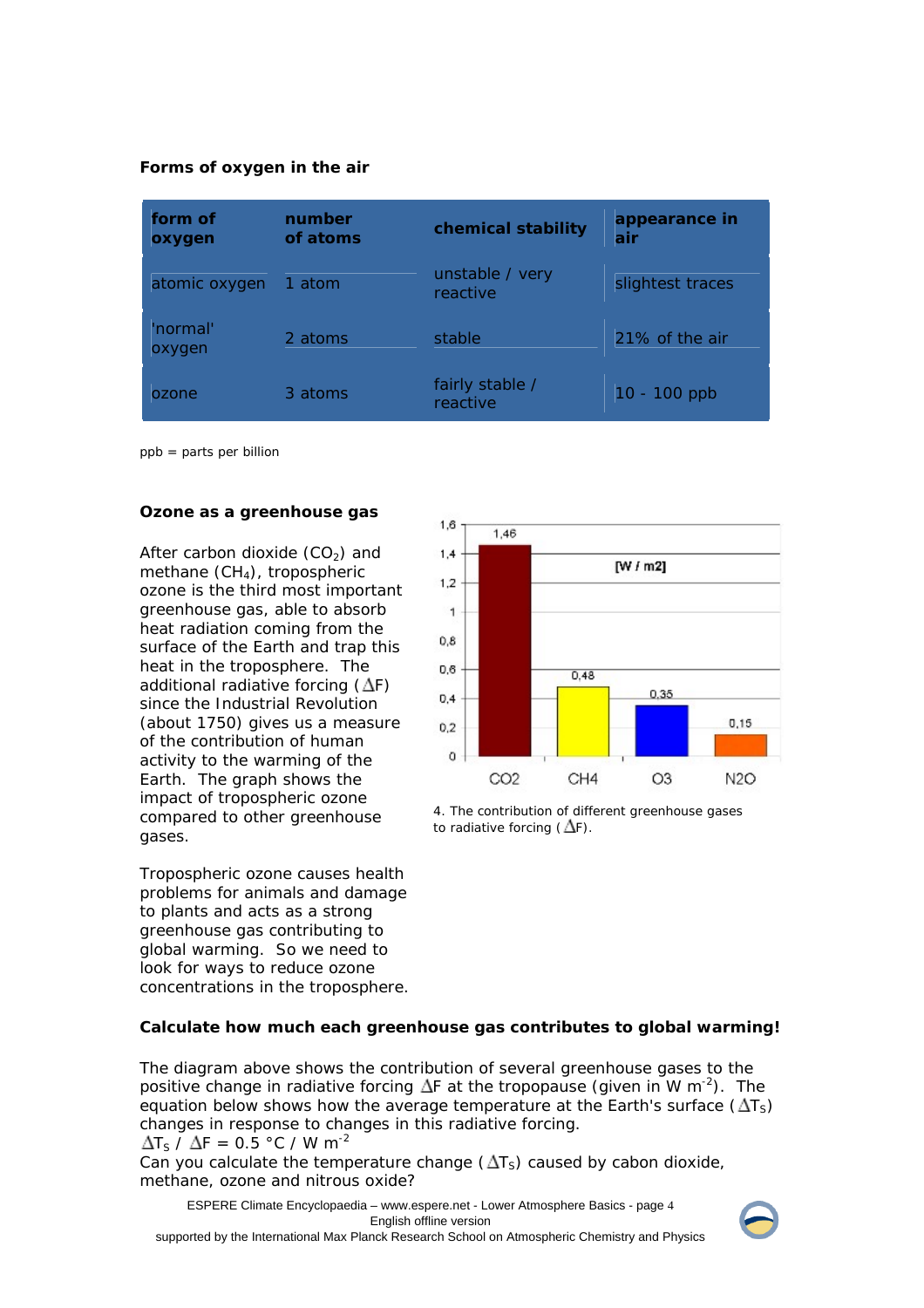*Forms of oxygen in the air*

| form of<br>oxygen  | number<br>of atoms | chemical stability          | appearance in<br>air |
|--------------------|--------------------|-----------------------------|----------------------|
| atomic oxygen      | 1 atom             | unstable / very<br>reactive | slightest traces     |
| 'normal'<br>oxygen | 2 atoms            | stable                      | 21% of the air       |
| ozone              | 3 atoms            | fairly stable /<br>reactive | 10 - 100 ppb         |

ppb = parts per billion

### **Ozone as a greenhouse gas**

After carbon dioxide  $(CO<sub>2</sub>)$  and methane  $(CH<sub>4</sub>)$ , tropospheric ozone is the third most important greenhouse gas, able to absorb heat radiation coming from the surface of the Earth and trap this heat in the troposphere. The additional radiative forcing  $(\Delta F)$ since the Industrial Revolution (about 1750) gives us a measure of the contribution of human activity to the warming of the Earth. The graph shows the impact of tropospheric ozone compared to other greenhouse gases.

Tropospheric ozone causes health problems for animals and damage to plants and acts as a strong greenhouse gas contributing to global warming. So we need to look for ways to reduce ozone concentrations in the troposphere.



4. The contribution of different greenhouse gases to radiative forcing  $(\Delta F)$ .

### **Calculate how much each greenhouse gas contributes to global warming!**

The diagram above shows the contribution of several greenhouse gases to the positive change in radiative forcing  $\Delta F$  at the tropopause (given in W m<sup>-2</sup>). The equation below shows how the average temperature at the Earth's surface  $(\Delta T_S)$ changes in response to changes in this radiative forcing.  $\Delta$ T<sub>S</sub> /  $\Delta$ F = 0.5 °C / W m<sup>-2</sup>

Can you calculate the temperature change  $(\Delta T_s)$  caused by cabon dioxide, methane, ozone and nitrous oxide?

ESPERE Climate Encyclopaedia – www.espere.net - Lower Atmosphere Basics - page 4 English offline version

supported by the International Max Planck Research School on Atmospheric Chemistry and Physics

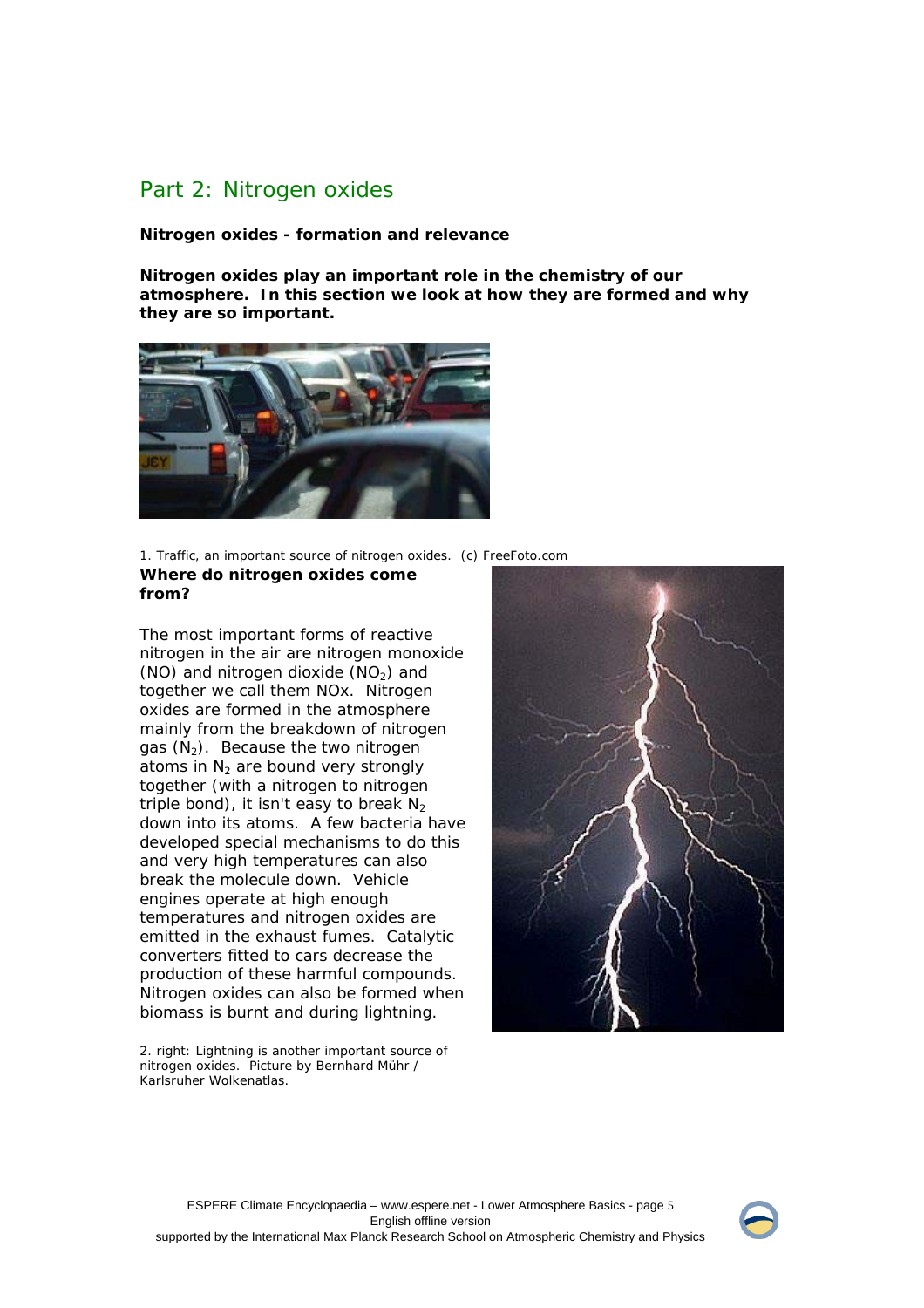# Part 2: Nitrogen oxides

**Nitrogen oxides - formation and relevance** 

**Nitrogen oxides play an important role in the chemistry of our atmosphere. In this section we look at how they are formed and why they are so important.**



1. Traffic, an important source of nitrogen oxides. (c) FreeFoto.com **Where do nitrogen oxides come from?** 

The most important forms of reactive nitrogen in the air are nitrogen monoxide (NO) and nitrogen dioxide  $(NO<sub>2</sub>)$  and together we call them NOx. Nitrogen oxides are formed in the atmosphere mainly from the breakdown of nitrogen gas  $(N_2)$ . Because the two nitrogen atoms in  $N<sub>2</sub>$  are bound very strongly together (with a nitrogen to nitrogen triple bond), it isn't easy to break  $N_2$ down into its atoms. A few bacteria have developed special mechanisms to do this and very high temperatures can also break the molecule down. Vehicle engines operate at high enough temperatures and nitrogen oxides are emitted in the exhaust fumes. Catalytic converters fitted to cars decrease the production of these harmful compounds. Nitrogen oxides can also be formed when biomass is burnt and during lightning.

2. right: Lightning is another important source of nitrogen oxides. Picture by Bernhard Mühr / Karlsruher Wolkenatlas.



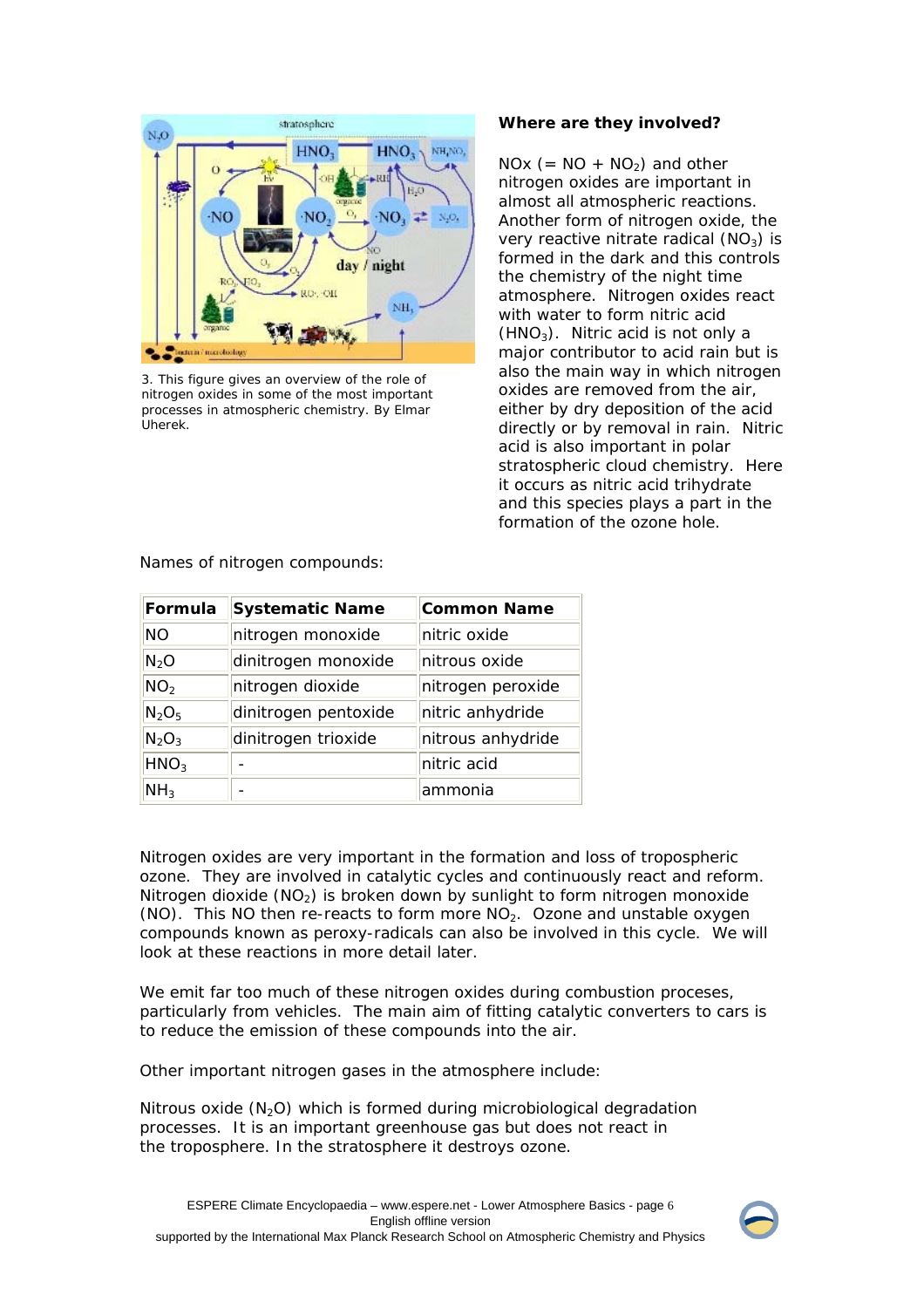

3. This figure gives an overview of the role of nitrogen oxides in some of the most important processes in atmospheric chemistry. By Elmar Uherek.

# **Where are they involved?**

 $NOx (= NO + NO<sub>2</sub>)$  and other nitrogen oxides are important in almost all atmospheric reactions. Another form of nitrogen oxide, the very reactive nitrate radical  $(NO_3)$  is formed in the dark and this controls the chemistry of the night time atmosphere. Nitrogen oxides react with water to form nitric acid  $(HNO<sub>3</sub>)$ . Nitric acid is not only a major contributor to acid rain but is also the main way in which nitrogen oxides are removed from the air, either by dry deposition of the acid directly or by removal in rain. Nitric acid is also important in polar stratospheric cloud chemistry. Here it occurs as nitric acid trihydrate and this species plays a part in the formation of the ozone hole.

| Formula          | <b>Systematic Name</b> | <b>Common Name</b> |  |
|------------------|------------------------|--------------------|--|
| <b>NO</b>        | nitrogen monoxide      | nitric oxide       |  |
| $N_2O$           | dinitrogen monoxide    | nitrous oxide      |  |
| NO <sub>2</sub>  | nitrogen dioxide       | nitrogen peroxide  |  |
| $N_2O_5$         | dinitrogen pentoxide   | nitric anhydride   |  |
| $N_2O_3$         | dinitrogen trioxide    | nitrous anhydride  |  |
| HNO <sub>3</sub> |                        | nitric acid        |  |
| NH <sub>3</sub>  |                        | ammonia            |  |

Names of nitrogen compounds:

Nitrogen oxides are very important in the formation and loss of tropospheric ozone. They are involved in catalytic cycles and continuously react and reform. Nitrogen dioxide  $(NO<sub>2</sub>)$  is broken down by sunlight to form nitrogen monoxide (NO). This NO then re-reacts to form more  $NO<sub>2</sub>$ . Ozone and unstable oxygen compounds known as peroxy-radicals can also be involved in this cycle. We will look at these reactions in more detail later.

We emit far too much of these nitrogen oxides during combustion proceses, particularly from vehicles. The main aim of fitting catalytic converters to cars is to reduce the emission of these compounds into the air.

Other important nitrogen gases in the atmosphere include:

Nitrous oxide  $(N_2O)$  which is formed during microbiological degradation processes. It is an important greenhouse gas but does not react in the troposphere. In the stratosphere it destroys ozone.

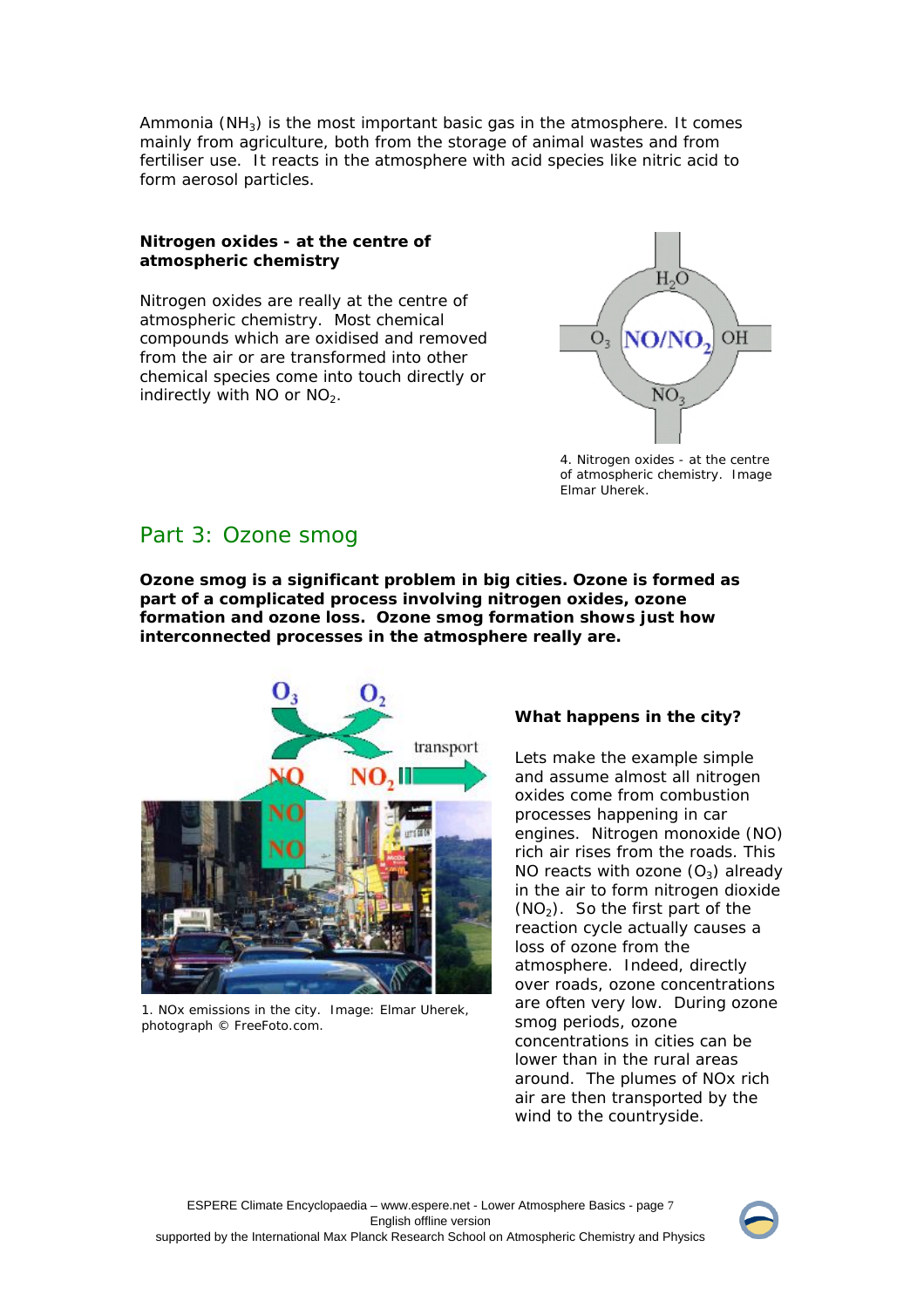Ammonia ( $NH<sub>3</sub>$ ) is the most important basic gas in the atmosphere. It comes mainly from agriculture, both from the storage of animal wastes and from fertiliser use. It reacts in the atmosphere with acid species like nitric acid to form aerosol particles.

## **Nitrogen oxides - at the centre of atmospheric chemistry**

Nitrogen oxides are really at the centre of atmospheric chemistry. Most chemical compounds which are oxidised and removed from the air or are transformed into other chemical species come into touch directly or indirectly with NO or  $NO<sub>2</sub>$ .



4. Nitrogen oxides - at the centre of atmospheric chemistry. Image Elmar Uherek.

# Part 3: Ozone smog

**Ozone smog is a significant problem in big cities. Ozone is formed as part of a complicated process involving nitrogen oxides, ozone formation and ozone loss. Ozone smog formation shows just how interconnected processes in the atmosphere really are.**



1. NOx emissions in the city. Image: Elmar Uherek, photograph © FreeFoto.com.

# **What happens in the city?**

Lets make the example simple and assume almost all nitrogen oxides come from combustion processes happening in car engines. Nitrogen monoxide (NO) rich air rises from the roads. This NO reacts with ozone  $(O_3)$  already in the air to form nitrogen dioxide  $(NO<sub>2</sub>)$ . So the first part of the reaction cycle actually causes a loss of ozone from the atmosphere. Indeed, directly over roads, ozone concentrations are often very low. During ozone smog periods, ozone concentrations in cities can be lower than in the rural areas around. The plumes of NOx rich air are then transported by the wind to the countryside.

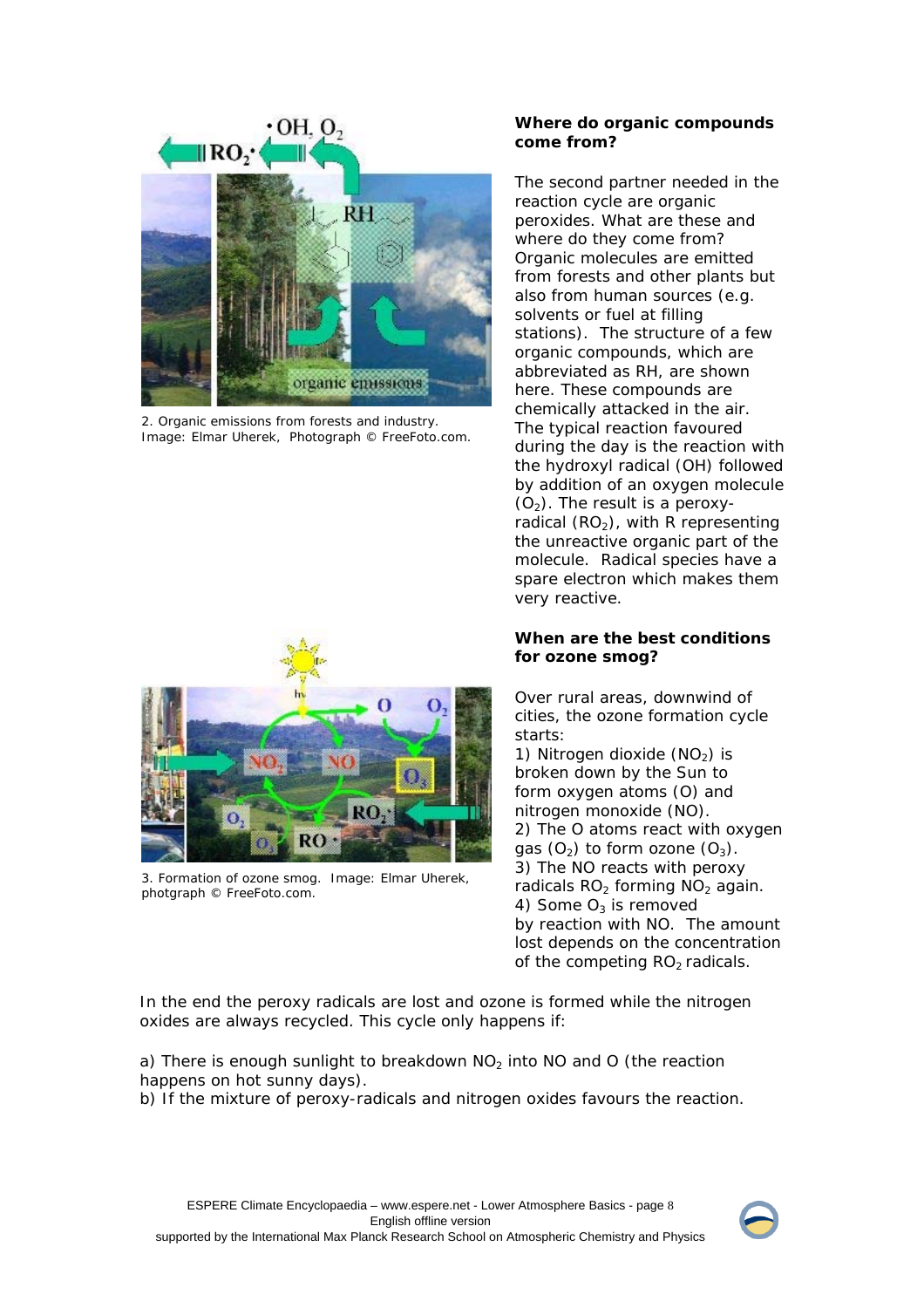

2. Organic emissions from forests and industry. Image: Elmar Uherek, Photograph © FreeFoto.com.

# **RO**

3. Formation of ozone smog. Image: Elmar Uherek, photgraph © FreeFoto.com.

# **Where do organic compounds come from?**

The second partner needed in the reaction cycle are organic peroxides. What are these and where do they come from? Organic molecules are emitted from forests and other plants but also from human sources (e.g. solvents or fuel at filling stations). The structure of a few organic compounds, which are abbreviated as RH, are shown here. These compounds are chemically attacked in the air. The typical reaction favoured during the day is the reaction with the hydroxyl radical (OH) followed by addition of an oxygen molecule  $(O<sub>2</sub>)$ . The result is a peroxyradical  $(RO<sub>2</sub>)$ , with R representing the unreactive organic part of the molecule. Radical species have a spare electron which makes them very reactive.

# **When are the best conditions for ozone smog?**

Over rural areas, downwind of cities, the ozone formation cycle starts:

1) Nitrogen dioxide  $(NO<sub>2</sub>)$  is broken down by the Sun to form oxygen atoms (O) and nitrogen monoxide (NO). 2) The O atoms react with oxygen gas  $(O_2)$  to form ozone  $(O_3)$ . 3) The NO reacts with peroxy radicals  $RO<sub>2</sub>$  forming  $NO<sub>2</sub>$  again. 4) Some  $O_3$  is removed by reaction with NO. The amount lost depends on the concentration of the competing  $RO<sub>2</sub>$  radicals.

In the end the peroxy radicals are lost and ozone is formed while the nitrogen oxides are always recycled. This cycle only happens if:

a) There is enough sunlight to breakdown  $NO<sub>2</sub>$  into NO and O (the reaction happens on hot sunny days).

b) If the mixture of peroxy-radicals and nitrogen oxides favours the reaction.